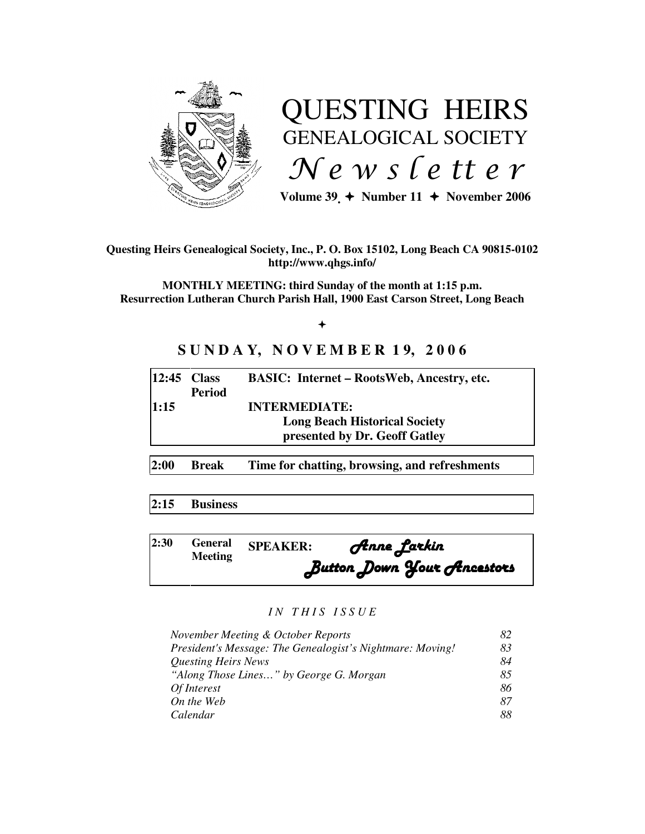

# QUESTING HEIRS GENEALOGICAL SOCIETY  $N e$  w s letter

Volume  $39 \div \text{Number 11} \div \text{November 2006}$ 

# **Questing Heirs Genealogical Society, Inc., P. O. Box 15102, Long Beach CA 90815-0102 http://www.qhgs.info/**

**MONTHLY MEETING: third Sunday of the month at 1:15 p.m. Resurrection Lutheran Church Parish Hall, 1900 East Carson Street, Long Beach** 

 $+$ 

# **S U N D A Y, N O V E M B E R 1 9, 2 0 0 6**

| $12:45$ Class |               | <b>BASIC:</b> Internet – RootsWeb, Ancestry, etc. |
|---------------|---------------|---------------------------------------------------|
|               | <b>Period</b> |                                                   |
| 11:15         |               | <b>INTERMEDIATE:</b>                              |
|               |               | <b>Long Beach Historical Society</b>              |
|               |               | presented by Dr. Geoff Gatley                     |
|               |               |                                                   |

**2:00 Break Time for chatting, browsing, and refreshments** 

# **2:15 Business**

| 2:30 | <b>Meeting</b> | <b>General SPEAKER:</b> | Anne Larkin                |
|------|----------------|-------------------------|----------------------------|
|      |                |                         | Button Down Your Ancestors |

# *I N T H I S I S S U E*

| November Meeting & October Reports                        | 82 |
|-----------------------------------------------------------|----|
| President's Message: The Genealogist's Nightmare: Moving! | 83 |
| <b>Questing Heirs News</b>                                | 84 |
| "Along Those Lines" by George G. Morgan                   | 85 |
| Of Interest                                               | 86 |
| On the Web                                                | 87 |
| Calendar                                                  | 88 |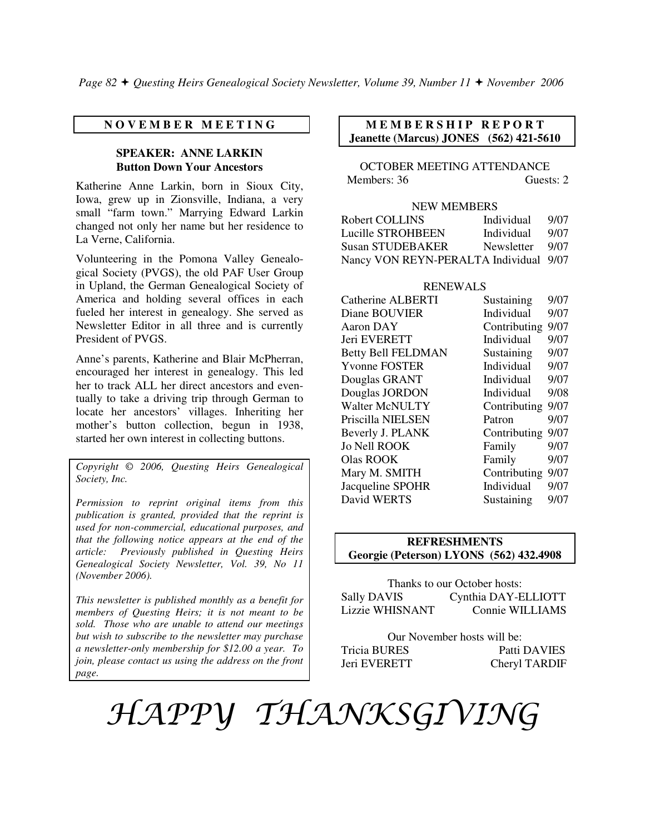# **N O V E M B E R M E E T I N G**

# **SPEAKER: ANNE LARKIN Button Down Your Ancestors**

Katherine Anne Larkin, born in Sioux City, Iowa, grew up in Zionsville, Indiana, a very small "farm town." Marrying Edward Larkin changed not only her name but her residence to La Verne, California.

Volunteering in the Pomona Valley Genealogical Society (PVGS), the old PAF User Group in Upland, the German Genealogical Society of America and holding several offices in each fueled her interest in genealogy. She served as Newsletter Editor in all three and is currently President of PVGS.

Anne's parents, Katherine and Blair McPherran, encouraged her interest in genealogy. This led her to track ALL her direct ancestors and eventually to take a driving trip through German to locate her ancestors' villages. Inheriting her mother's button collection, begun in 1938, started her own interest in collecting buttons.

*Copyright* © *2006, Questing Heirs Genealogical Society, Inc.* 

*Permission to reprint original items from this publication is granted, provided that the reprint is used for non-commercial, educational purposes, and that the following notice appears at the end of the article: Previously published in Questing Heirs Genealogical Society Newsletter, Vol. 39, No 11 (November 2006).* 

*This newsletter is published monthly as a benefit for members of Questing Heirs; it is not meant to be sold. Those who are unable to attend our meetings but wish to subscribe to the newsletter may purchase a newsletter-only membership for \$12.00 a year. To join, please contact us using the address on the front page.*

# **M E M B E R S H I P R E P O R T Jeanette (Marcus) JONES (562) 421-5610**

OCTOBER MEETING ATTENDANCE Members: 36 Guests: 2

# NEW MEMBERS

| Robert COLLINS                         | Individual | 9/07 |
|----------------------------------------|------------|------|
| Lucille STROHBEEN                      | Individual | 9/07 |
| <b>Susan STUDEBAKER</b>                | Newsletter | 9/07 |
| Nancy VON REYN-PERALTA Individual 9/07 |            |      |

#### RENEWALS

| Catherine ALBERTI         | Sustaining   | 9/07 |
|---------------------------|--------------|------|
| Diane BOUVIER             | Individual   | 9/07 |
| Aaron DAY                 | Contributing | 9/07 |
| Jeri EVERETT              | Individual   | 9/07 |
| <b>Betty Bell FELDMAN</b> | Sustaining   | 9/07 |
| <b>Yvonne FOSTER</b>      | Individual   | 9/07 |
| Douglas GRANT             | Individual   | 9/07 |
| Douglas JORDON            | Individual   | 9/08 |
| <b>Walter McNULTY</b>     | Contributing | 9/07 |
| Priscilla NIELSEN         | Patron       | 9/07 |
| Beverly J. PLANK          | Contributing | 9/07 |
| <b>Jo Nell ROOK</b>       | Family       | 9/07 |
| <b>Olas ROOK</b>          | Family       | 9/07 |
| Mary M. SMITH             | Contributing | 9/07 |
| Jacqueline SPOHR          | Individual   | 9/07 |
| David WERTS               | Sustaining   | 9/07 |

# **REFRESHMENTS Georgie (Peterson) LYONS (562) 432.4908**

| Thanks to our October hosts: |                     |  |  |
|------------------------------|---------------------|--|--|
| <b>Sally DAVIS</b>           | Cynthia DAY-ELLIOTT |  |  |
| <b>Lizzie WHISNANT</b>       | Connie WILLIAMS     |  |  |

| Our November hosts will be: |               |  |
|-----------------------------|---------------|--|
| Tricia BURES                | Patti DAVIES  |  |
| Jeri EVERETT                | Cheryl TARDIF |  |

# HAPPY THANKSGIVING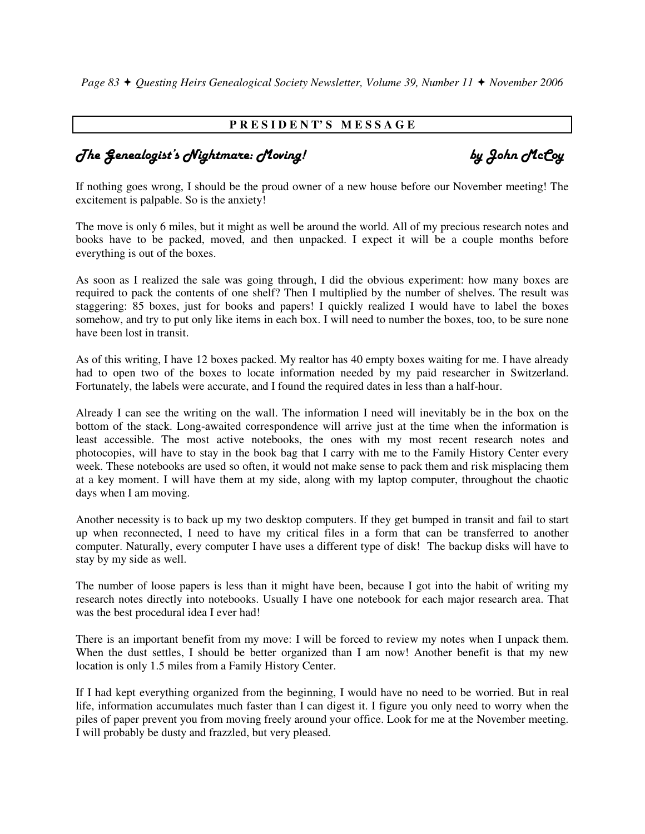*Page 83 Questing Heirs Genealogical Society Newsletter, Volume 39, Number 11 November 2006* 

# **P R E S I D E N T' S M E S S A G E**

# The Genealogist's Nightmare: Moving! by John McCoy

If nothing goes wrong, I should be the proud owner of a new house before our November meeting! The excitement is palpable. So is the anxiety!

The move is only 6 miles, but it might as well be around the world. All of my precious research notes and books have to be packed, moved, and then unpacked. I expect it will be a couple months before everything is out of the boxes.

As soon as I realized the sale was going through, I did the obvious experiment: how many boxes are required to pack the contents of one shelf? Then I multiplied by the number of shelves. The result was staggering: 85 boxes, just for books and papers! I quickly realized I would have to label the boxes somehow, and try to put only like items in each box. I will need to number the boxes, too, to be sure none have been lost in transit.

As of this writing, I have 12 boxes packed. My realtor has 40 empty boxes waiting for me. I have already had to open two of the boxes to locate information needed by my paid researcher in Switzerland. Fortunately, the labels were accurate, and I found the required dates in less than a half-hour.

Already I can see the writing on the wall. The information I need will inevitably be in the box on the bottom of the stack. Long-awaited correspondence will arrive just at the time when the information is least accessible. The most active notebooks, the ones with my most recent research notes and photocopies, will have to stay in the book bag that I carry with me to the Family History Center every week. These notebooks are used so often, it would not make sense to pack them and risk misplacing them at a key moment. I will have them at my side, along with my laptop computer, throughout the chaotic days when I am moving.

Another necessity is to back up my two desktop computers. If they get bumped in transit and fail to start up when reconnected, I need to have my critical files in a form that can be transferred to another computer. Naturally, every computer I have uses a different type of disk! The backup disks will have to stay by my side as well.

The number of loose papers is less than it might have been, because I got into the habit of writing my research notes directly into notebooks. Usually I have one notebook for each major research area. That was the best procedural idea I ever had!

There is an important benefit from my move: I will be forced to review my notes when I unpack them. When the dust settles, I should be better organized than I am now! Another benefit is that my new location is only 1.5 miles from a Family History Center.

If I had kept everything organized from the beginning, I would have no need to be worried. But in real life, information accumulates much faster than I can digest it. I figure you only need to worry when the piles of paper prevent you from moving freely around your office. Look for me at the November meeting. I will probably be dusty and frazzled, but very pleased.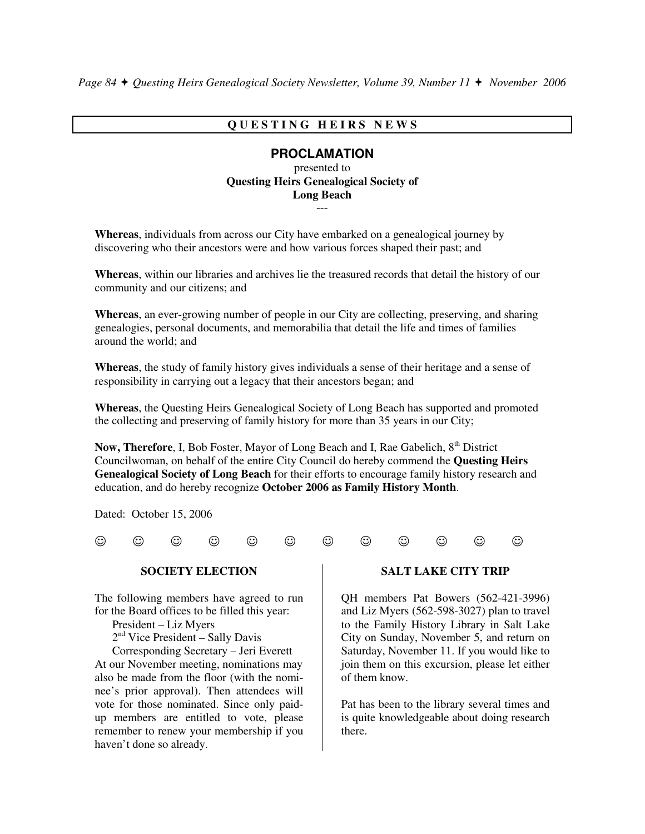# **Q U E S T I N G H E I R S N E W S**

# **PROCLAMATION**

presented to **Questing Heirs Genealogical Society of Long Beach**  ---

**Whereas**, individuals from across our City have embarked on a genealogical journey by discovering who their ancestors were and how various forces shaped their past; and

**Whereas**, within our libraries and archives lie the treasured records that detail the history of our community and our citizens; and

**Whereas**, an ever-growing number of people in our City are collecting, preserving, and sharing genealogies, personal documents, and memorabilia that detail the life and times of families around the world; and

**Whereas**, the study of family history gives individuals a sense of their heritage and a sense of responsibility in carrying out a legacy that their ancestors began; and

**Whereas**, the Questing Heirs Genealogical Society of Long Beach has supported and promoted the collecting and preserving of family history for more than 35 years in our City;

**Now, Therefore**, I, Bob Foster, Mayor of Long Beach and I, Rae Gabelich, 8<sup>th</sup> District Councilwoman, on behalf of the entire City Council do hereby commend the **Questing Heirs Genealogical Society of Long Beach** for their efforts to encourage family history research and education, and do hereby recognize **October 2006 as Family History Month**.

Dated: October 15, 2006

 $\begin{array}{ccc} \odot & \odot & \odot & \odot & \odot \end{array}$   $\begin{array}{ccc} \odot & \odot & \odot & \odot \end{array}$ 

#### **SOCIETY ELECTION**

The following members have agreed to run for the Board offices to be filled this year:

President – Liz Myers

 $2<sup>nd</sup>$  Vice President – Sally Davis

 Corresponding Secretary – Jeri Everett At our November meeting, nominations may also be made from the floor (with the nominee's prior approval). Then attendees will vote for those nominated. Since only paidup members are entitled to vote, please remember to renew your membership if you haven't done so already.

#### **SALT LAKE CITY TRIP**

QH members Pat Bowers (562-421-3996) and Liz Myers (562-598-3027) plan to travel to the Family History Library in Salt Lake City on Sunday, November 5, and return on Saturday, November 11. If you would like to join them on this excursion, please let either of them know.

Pat has been to the library several times and is quite knowledgeable about doing research there.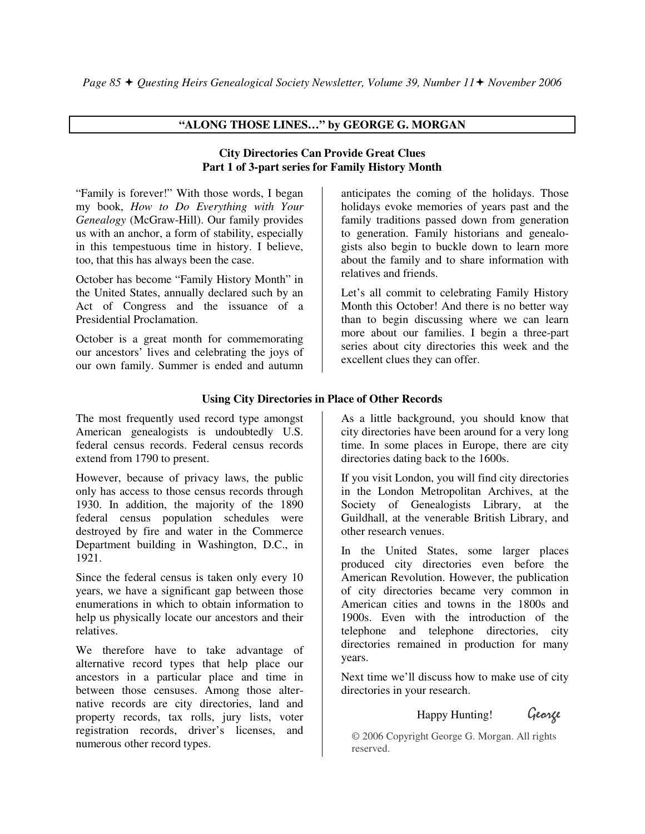# **"ALONG THOSE LINES…" by GEORGE G. MORGAN**

# **City Directories Can Provide Great Clues Part 1 of 3-part series for Family History Month**

"Family is forever!" With those words, I began my book, *How to Do Everything with Your Genealogy* (McGraw-Hill). Our family provides us with an anchor, a form of stability, especially in this tempestuous time in history. I believe, too, that this has always been the case.

October has become "Family History Month" in the United States, annually declared such by an Act of Congress and the issuance of a Presidential Proclamation.

October is a great month for commemorating our ancestors' lives and celebrating the joys of our own family. Summer is ended and autumn

anticipates the coming of the holidays. Those holidays evoke memories of years past and the family traditions passed down from generation to generation. Family historians and genealogists also begin to buckle down to learn more about the family and to share information with relatives and friends.

Let's all commit to celebrating Family History Month this October! And there is no better way than to begin discussing where we can learn more about our families. I begin a three-part series about city directories this week and the excellent clues they can offer.

# **Using City Directories in Place of Other Records**

The most frequently used record type amongst American genealogists is undoubtedly U.S. federal census records. Federal census records extend from 1790 to present.

However, because of privacy laws, the public only has access to those census records through 1930. In addition, the majority of the 1890 federal census population schedules were destroyed by fire and water in the Commerce Department building in Washington, D.C., in 1921.

Since the federal census is taken only every 10 years, we have a significant gap between those enumerations in which to obtain information to help us physically locate our ancestors and their relatives.

We therefore have to take advantage of alternative record types that help place our ancestors in a particular place and time in between those censuses. Among those alternative records are city directories, land and property records, tax rolls, jury lists, voter registration records, driver's licenses, and numerous other record types.

As a little background, you should know that city directories have been around for a very long time. In some places in Europe, there are city directories dating back to the 1600s.

If you visit London, you will find city directories in the London Metropolitan Archives, at the Society of Genealogists Library, at the Guildhall, at the venerable British Library, and other research venues.

In the United States, some larger places produced city directories even before the American Revolution. However, the publication of city directories became very common in American cities and towns in the 1800s and 1900s. Even with the introduction of the telephone and telephone directories, city directories remained in production for many years.

Next time we'll discuss how to make use of city directories in your research.

# Happy Hunting! George

 © 2006 Copyright George G. Morgan. All rights reserved.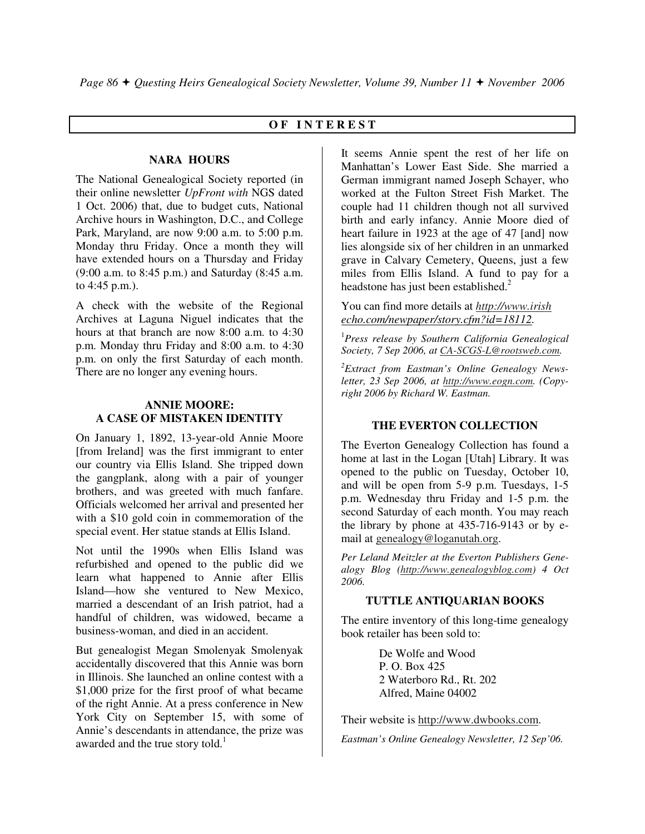# **O F I N T E R E S T**

# **NARA HOURS**

The National Genealogical Society reported (in their online newsletter *UpFront with* NGS dated 1 Oct. 2006) that, due to budget cuts, National Archive hours in Washington, D.C., and College Park, Maryland, are now 9:00 a.m. to 5:00 p.m. Monday thru Friday. Once a month they will have extended hours on a Thursday and Friday (9:00 a.m. to 8:45 p.m.) and Saturday (8:45 a.m. to 4:45 p.m.).

A check with the website of the Regional Archives at Laguna Niguel indicates that the hours at that branch are now 8:00 a.m. to 4:30 p.m. Monday thru Friday and 8:00 a.m. to 4:30 p.m. on only the first Saturday of each month. There are no longer any evening hours.

# **ANNIE MOORE: A CASE OF MISTAKEN IDENTITY**

On January 1, 1892, 13-year-old Annie Moore [from Ireland] was the first immigrant to enter our country via Ellis Island. She tripped down the gangplank, along with a pair of younger brothers, and was greeted with much fanfare. Officials welcomed her arrival and presented her with a \$10 gold coin in commemoration of the special event. Her statue stands at Ellis Island.

Not until the 1990s when Ellis Island was refurbished and opened to the public did we learn what happened to Annie after Ellis Island—how she ventured to New Mexico, married a descendant of an Irish patriot, had a handful of children, was widowed, became a business-woman, and died in an accident.

But genealogist Megan Smolenyak Smolenyak accidentally discovered that this Annie was born in Illinois. She launched an online contest with a \$1,000 prize for the first proof of what became of the right Annie. At a press conference in New York City on September 15, with some of Annie's descendants in attendance, the prize was awarded and the true story told. $<sup>1</sup>$ </sup>

It seems Annie spent the rest of her life on Manhattan's Lower East Side. She married a German immigrant named Joseph Schayer, who worked at the Fulton Street Fish Market. The couple had 11 children though not all survived birth and early infancy. Annie Moore died of heart failure in 1923 at the age of 47 [and] now lies alongside six of her children in an unmarked grave in Calvary Cemetery, Queens, just a few miles from Ellis Island. A fund to pay for a headstone has just been established.<sup>2</sup>

You can find more details at *http://www.irish echo.com/newpaper/story.cfm?id=18112.* 

<sup>1</sup>*Press release by Southern California Genealogical Society, 7 Sep 2006, at CA-SCGS-L@rootsweb.com.* 

*<sup>2</sup>Extract from Eastman's Online Genealogy Newsletter, 23 Sep 2006, at http://www.eogn.com. (Copyright 2006 by Richard W. Eastman.*

# **THE EVERTON COLLECTION**

The Everton Genealogy Collection has found a home at last in the Logan [Utah] Library. It was opened to the public on Tuesday, October 10, and will be open from 5-9 p.m. Tuesdays, 1-5 p.m. Wednesday thru Friday and 1-5 p.m. the second Saturday of each month. You may reach the library by phone at 435-716-9143 or by email at genealogy@loganutah.org.

*Per Leland Meitzler at the Everton Publishers Genealogy Blog (http://www.genealogyblog.com) 4 Oct 2006.* 

#### **TUTTLE ANTIQUARIAN BOOKS**

The entire inventory of this long-time genealogy book retailer has been sold to:

> De Wolfe and Wood P. O. Box 425 2 Waterboro Rd., Rt. 202 Alfred, Maine 04002

Their website is http://www.dwbooks.com.

*Eastman's Online Genealogy Newsletter, 12 Sep'06.*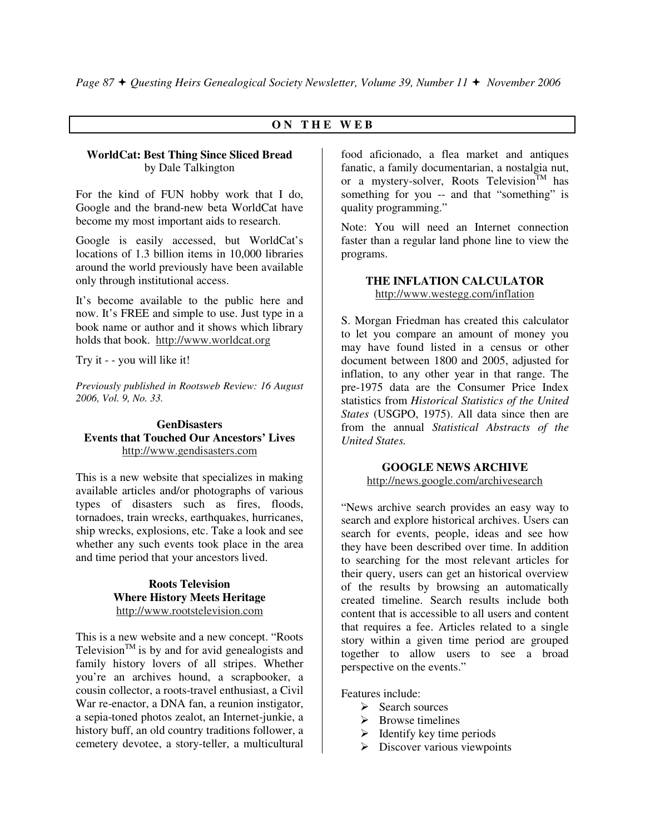# **O N T H E W E B**

# **WorldCat: Best Thing Since Sliced Bread**  by Dale Talkington

For the kind of FUN hobby work that I do, Google and the brand-new beta WorldCat have become my most important aids to research.

Google is easily accessed, but WorldCat's locations of 1.3 billion items in 10,000 libraries around the world previously have been available only through institutional access.

It's become available to the public here and now. It's FREE and simple to use. Just type in a book name or author and it shows which library holds that book. http://www.worldcat.org

Try it - - you will like it!

*Previously published in Rootsweb Review: 16 August 2006, Vol. 9, No. 33.* 

# **GenDisasters Events that Touched Our Ancestors' Lives**  http://www.gendisasters.com

This is a new website that specializes in making available articles and/or photographs of various types of disasters such as fires, floods, tornadoes, train wrecks, earthquakes, hurricanes, ship wrecks, explosions, etc. Take a look and see whether any such events took place in the area and time period that your ancestors lived.

> **Roots Television Where History Meets Heritage**  http://www.rootstelevision.com

This is a new website and a new concept. "Roots Television<sup>TM</sup> is by and for avid genealogists and family history lovers of all stripes. Whether you're an archives hound, a scrapbooker, a cousin collector, a roots-travel enthusiast, a Civil War re-enactor, a DNA fan, a reunion instigator, a sepia-toned photos zealot, an Internet-junkie, a history buff, an old country traditions follower, a cemetery devotee, a story-teller, a multicultural

food aficionado, a flea market and antiques fanatic, a family documentarian, a nostalgia nut, or a mystery-solver, Roots Television<sup>TM</sup> has something for you -- and that "something" is quality programming."

Note: You will need an Internet connection faster than a regular land phone line to view the programs.

# **THE INFLATION CALCULATOR**  http://www.westegg.com/inflation

S. Morgan Friedman has created this calculator to let you compare an amount of money you may have found listed in a census or other document between 1800 and 2005, adjusted for inflation, to any other year in that range. The pre-1975 data are the Consumer Price Index statistics from *Historical Statistics of the United States* (USGPO, 1975). All data since then are from the annual *Statistical Abstracts of the United States.* 

# **GOOGLE NEWS ARCHIVE**

http://news.google.com/archivesearch

"News archive search provides an easy way to search and explore historical archives. Users can search for events, people, ideas and see how they have been described over time. In addition to searching for the most relevant articles for their query, users can get an historical overview of the results by browsing an automatically created timeline. Search results include both content that is accessible to all users and content that requires a fee. Articles related to a single story within a given time period are grouped together to allow users to see a broad perspective on the events."

Features include:

- > Search sources
- > Browse timelines
- > Identify key time periods
- > Discover various viewpoints